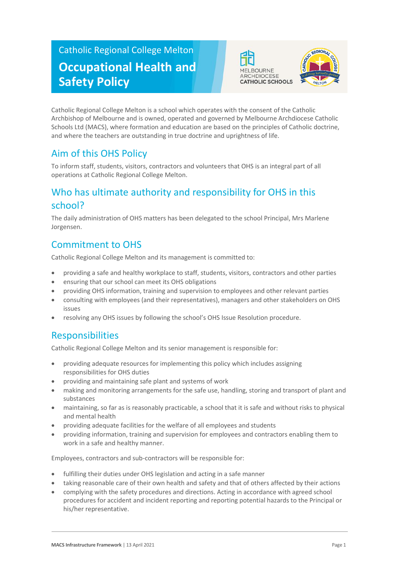# Catholic Regional College Melton **Occupational Health and Safety Policy**





Catholic Regional College Melton is a school which operates with the consent of the Catholic Archbishop of Melbourne and is owned, operated and governed by Melbourne Archdiocese Catholic Schools Ltd (MACS), where formation and education are based on the principles of Catholic doctrine, and where the teachers are outstanding in true doctrine and uprightness of life.

## Aim of this OHS Policy

To inform staff, students, visitors, contractors and volunteers that OHS is an integral part of all operations at Catholic Regional College Melton.

## Who has ultimate authority and responsibility for OHS in this school?

The daily administration of OHS matters has been delegated to the school Principal, Mrs Marlene Jorgensen.

## Commitment to OHS

Catholic Regional College Melton and its management is committed to:

- providing a safe and healthy workplace to staff, students, visitors, contractors and other parties
- ensuring that our school can meet its OHS obligations
- providing OHS information, training and supervision to employees and other relevant parties
- consulting with employees (and their representatives), managers and other stakeholders on OHS issues
- resolving any OHS issues by following the school's OHS Issue Resolution procedure.

## Responsibilities

Catholic Regional College Melton and its senior management is responsible for:

- providing adequate resources for implementing this policy which includes assigning responsibilities for OHS duties
- providing and maintaining safe plant and systems of work
- making and monitoring arrangements for the safe use, handling, storing and transport of plant and substances
- maintaining, so far as is reasonably practicable, a school that it is safe and without risks to physical and mental health
- providing adequate facilities for the welfare of all employees and students
- providing information, training and supervision for employees and contractors enabling them to work in a safe and healthy manner.

Employees, contractors and sub-contractors will be responsible for:

- fulfilling their duties under OHS legislation and acting in a safe manner
- taking reasonable care of their own health and safety and that of others affected by their actions
- complying with the safety procedures and directions. Acting in accordance with agreed school procedures for accident and incident reporting and reporting potential hazards to the Principal or his/her representative.